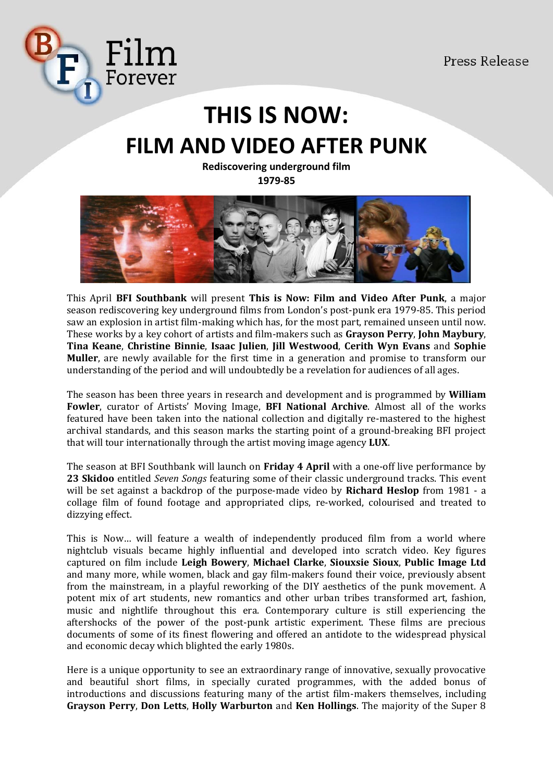

# **THIS IS NOW: FILM AND VIDEO AFTER PUNK**

**Rediscovering underground film 1979-85**



This April **BFI Southbank** will present **This is Now: Film and Video After Punk**, a major season rediscovering key underground films from London's post-punk era 1979-85. This period saw an explosion in artist film-making which has, for the most part, remained unseen until now. These works by a key cohort of artists and film-makers such as **Grayson Perry**, **John Maybury**, **Tina Keane**, **Christine Binnie**, **Isaac Julien**, **Jill Westwood**, **Cerith Wyn Evans** and **Sophie Muller**, are newly available for the first time in a generation and promise to transform our understanding of the period and will undoubtedly be a revelation for audiences of all ages.

The season has been three years in research and development and is programmed by **William Fowler**, curator of Artists' Moving Image, **BFI National Archive**. Almost all of the works featured have been taken into the national collection and digitally re-mastered to the highest archival standards, and this season marks the starting point of a ground-breaking BFI project that will tour internationally through the artist moving image agency **LUX**.

The season at BFI Southbank will launch on **Friday 4 April** with a one-off live performance by **23 Skidoo** entitled *Seven Songs* featuring some of their classic underground tracks. This event will be set against a backdrop of the purpose-made video by **Richard Heslop** from 1981 - a collage film of found footage and appropriated clips, re-worked, colourised and treated to dizzying effect.

This is Now… will feature a wealth of independently produced film from a world where nightclub visuals became highly influential and developed into scratch video. Key figures captured on film include **Leigh Bowery**, **Michael Clarke**, **Siouxsie Sioux**, **Public Image Ltd** and many more, while women, black and gay film-makers found their voice, previously absent from the mainstream, in a playful reworking of the DIY aesthetics of the punk movement. A potent mix of art students, new romantics and other urban tribes transformed art, fashion, music and nightlife throughout this era. Contemporary culture is still experiencing the aftershocks of the power of the post-punk artistic experiment. These films are precious documents of some of its finest flowering and offered an antidote to the widespread physical and economic decay which blighted the early 1980s.

Here is a unique opportunity to see an extraordinary range of innovative, sexually provocative and beautiful short films, in specially curated programmes, with the added bonus of introductions and discussions featuring many of the artist film-makers themselves, including **Grayson Perry**, **Don Letts**, **Holly Warburton** and **Ken Hollings**. The majority of the Super 8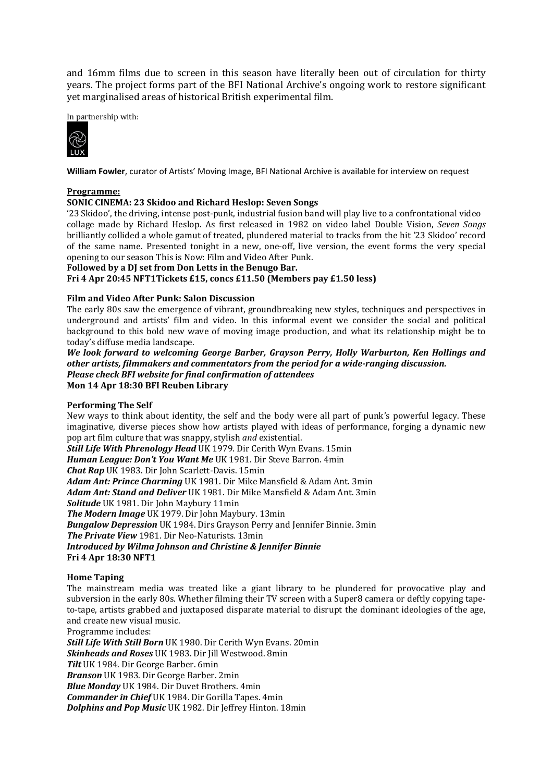and 16mm films due to screen in this season have literally been out of circulation for thirty years. The project forms part of the BFI National Archive's ongoing work to restore significant yet marginalised areas of historical British experimental film.

In partnership with:



**William Fowler**, curator of Artists' Moving Image, BFI National Archive is available for interview on request

#### **Programme:**

# **SONIC CINEMA: 23 Skidoo and Richard Heslop: Seven Songs**

'23 Skidoo', the driving, intense post-punk, industrial fusion band will play live to a confrontational video collage made by Richard Heslop. As first released in 1982 on video label Double Vision, *Seven Songs*  brilliantly collided a whole gamut of treated, plundered material to tracks from the hit '23 Skidoo' record of the same name. Presented tonight in a new, one-off, live version, the event forms the very special opening to our season This is Now: Film and Video After Punk.

#### **Followed by a DJ set from Don Letts in the Benugo Bar.**

**Fri 4 Apr 20:45 NFT1Tickets £15, concs £11.50 (Members pay £1.50 less)** 

#### **Film and Video After Punk: Salon Discussion**

The early 80s saw the emergence of vibrant, groundbreaking new styles, techniques and perspectives in underground and artists' film and video. In this informal event we consider the social and political background to this bold new wave of moving image production, and what its relationship might be to today's diffuse media landscape.

*We look forward to welcoming George Barber, Grayson Perry, Holly Warburton, Ken Hollings and other artists, filmmakers and commentators from the period for a wide-ranging discussion. Please check BFI website for final confirmation of attendees*  **Mon 14 Apr 18:30 BFI Reuben Library**

# **Performing The Self**

New ways to think about identity, the self and the body were all part of punk's powerful legacy. These imaginative, diverse pieces show how artists played with ideas of performance, forging a dynamic new pop art film culture that was snappy, stylish *and* existential.

*Still Life With Phrenology Head* UK 1979. Dir Cerith Wyn Evans. 15min *Human League: Don't You Want Me* UK 1981. Dir Steve Barron. 4min *Chat Rap* UK 1983. Dir John Scarlett-Davis. 15min *Adam Ant: Prince Charming* UK 1981. Dir Mike Mansfield & Adam Ant. 3min *Adam Ant: Stand and Deliver* UK 1981. Dir Mike Mansfield & Adam Ant. 3min *Solitude* UK 1981. Dir John Maybury 11min *The Modern Image* UK 1979. Dir John Maybury. 13min *Bungalow Depression* UK 1984. Dirs Grayson Perry and Jennifer Binnie. 3min *The Private View* 1981. Dir Neo-Naturists. 13min *Introduced by Wilma Johnson and Christine & Jennifer Binnie* **Fri 4 Apr 18:30 NFT1**

# **Home Taping**

The mainstream media was treated like a giant library to be plundered for provocative play and subversion in the early 80s. Whether filming their TV screen with a Super8 camera or deftly copying tapeto-tape, artists grabbed and juxtaposed disparate material to disrupt the dominant ideologies of the age, and create new visual music.

Programme includes:

*Still Life With Still Born* UK 1980. Dir Cerith Wyn Evans. 20min *Skinheads and Roses* UK 1983. Dir Jill Westwood. 8min *Tilt* UK 1984. Dir George Barber. 6min *Branson* UK 1983. Dir George Barber. 2min *Blue Monday* UK 1984. Dir Duvet Brothers. 4min *Commander in Chief* UK 1984. Dir Gorilla Tapes. 4min *Dolphins and Pop Music* UK 1982. Dir Jeffrey Hinton. 18min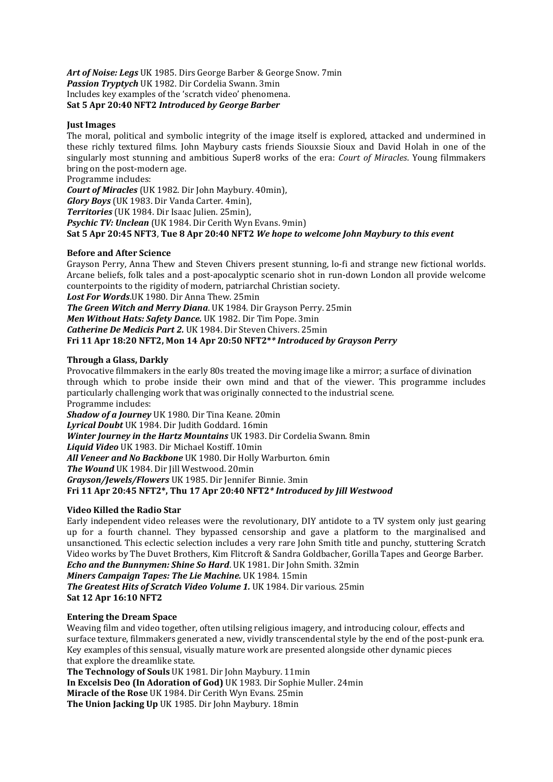*Art of Noise: Legs* UK 1985. Dirs George Barber & George Snow. 7min *Passion Tryptych* UK 1982. Dir Cordelia Swann. 3min Includes key examples of the 'scratch video' phenomena. **Sat 5 Apr 20:40 NFT2** *Introduced by George Barber*

#### **Just Images**

The moral, political and symbolic integrity of the image itself is explored, attacked and undermined in these richly textured films. John Maybury casts friends Siouxsie Sioux and David Holah in one of the singularly most stunning and ambitious Super8 works of the era: *Court of Miracles*. Young filmmakers bring on the post-modern age.

Programme includes:

*Court of Miracles* (UK 1982. Dir John Maybury. 40min),

*Glory Boys* (UK 1983. Dir Vanda Carter. 4min),

*Territories* (UK 1984. Dir Isaac Julien. 25min),

*Psychic TV: Unclean* (UK 1984. Dir Cerith Wyn Evans. 9min)

**Sat 5 Apr 20:45 NFT3**, **Tue 8 Apr 20:40 NFT2** *We hope to welcome John Maybury to this event*

#### **Before and After Science**

Grayson Perry, Anna Thew and Steven Chivers present stunning, lo-fi and strange new fictional worlds. Arcane beliefs, folk tales and a post-apocalyptic scenario shot in run-down London all provide welcome counterpoints to the rigidity of modern, patriarchal Christian society.

*Lost For Words*.UK 1980. Dir Anna Thew. 25min

*The Green Witch and Merry Diana*. UK 1984. Dir Grayson Perry. 25min

*Men Without Hats: Safety Dance.* UK 1982. Dir Tim Pope. 3min

*Catherine De Medicis Part 2.* UK 1984. Dir Steven Chivers. 25min

# **Fri 11 Apr 18:20 NFT2, Mon 14 Apr 20:50 NFT2\****\* Introduced by Grayson Perry*

# **Through a Glass, Darkly**

Provocative filmmakers in the early 80s treated the moving image like a mirror; a surface of divination through which to probe inside their own mind and that of the viewer. This programme includes particularly challenging work that was originally connected to the industrial scene. Programme includes:

*Shadow of a Journey* UK 1980. Dir Tina Keane. 20min *Lyrical Doubt* UK 1984. Dir Judith Goddard. 16min *Winter Journey in the Hartz Mountains* UK 1983. Dir Cordelia Swann. 8min *Liquid Video* UK 1983. Dir Michael Kostiff. 10min *All Veneer and No Backbone* UK 1980. Dir Holly Warburton. 6min *The Wound* UK 1984. Dir Jill Westwood. 20min *Grayson/Jewels/Flowers* UK 1985. Dir Jennifer Binnie. 3min **Fri 11 Apr 20:45 NFT2\*, Thu 17 Apr 20:40 NFT2***\* Introduced by Jill Westwood*

#### **Video Killed the Radio Star**

Early independent video releases were the revolutionary, DIY antidote to a TV system only just gearing up for a fourth channel. They bypassed censorship and gave a platform to the marginalised and unsanctioned. This eclectic selection includes a very rare John Smith title and punchy, stuttering Scratch Video works by The Duvet Brothers, Kim Flitcroft & Sandra Goldbacher, Gorilla Tapes and George Barber. *Echo and the Bunnymen: Shine So Hard*. UK 1981. Dir John Smith. 32min

*Miners Campaign Tapes: The Lie Machine.* UK 1984. 15min

*The Greatest Hits of Scratch Video Volume 1. UK 1984. Dir various. 25min* **Sat 12 Apr 16:10 NFT2** 

#### **Entering the Dream Space**

Weaving film and video together, often utilsing religious imagery, and introducing colour, effects and surface texture, filmmakers generated a new, vividly transcendental style by the end of the post-punk era. Key examples of this sensual, visually mature work are presented alongside other dynamic pieces that explore the dreamlike state.

**The Technology of Souls** UK 1981. Dir John Maybury. 11min **In Excelsis Deo (In Adoration of God)** UK 1983. Dir Sophie Muller. 24min **Miracle of the Rose** UK 1984. Dir Cerith Wyn Evans. 25min **The Union Jacking Up** UK 1985. Dir John Maybury. 18min